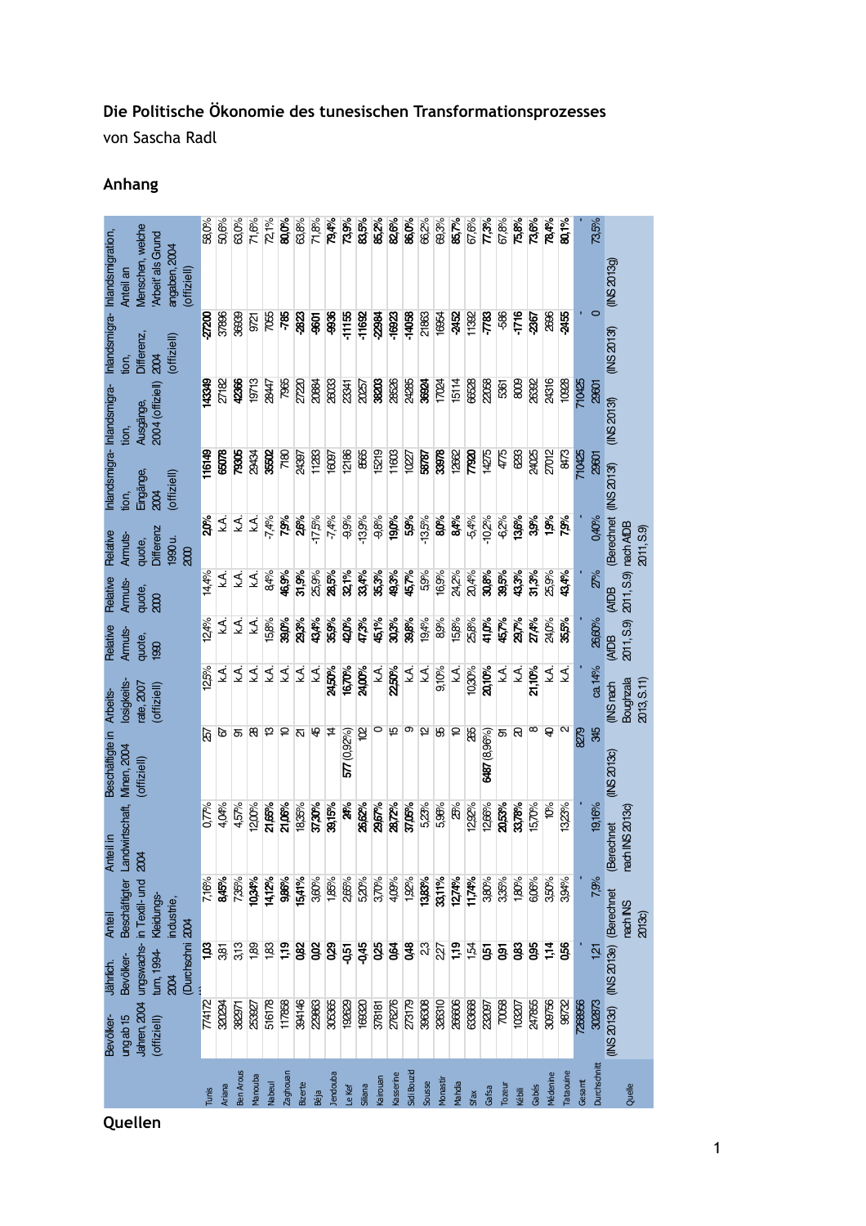|                            |                               |                                              |               |                 | 58,0%      | 50,6%  | 63,0%     | 71,6%         | 72,1%         | 80,0%                   | 63,8%               | 71,8%          | 79,4%    | 73.9%       | 83,5%    | 85,2%    | 826%      | 86,0%       | 66,2%    | 69,3%    | 85,7%  | 67,6%      | 77.3%        | 67,8%  | 75,8%        | 736%     | 78,4%                   | 80,1%             |         | 73,5%          |                                    |                                   |
|----------------------------|-------------------------------|----------------------------------------------|---------------|-----------------|------------|--------|-----------|---------------|---------------|-------------------------|---------------------|----------------|----------|-------------|----------|----------|-----------|-------------|----------|----------|--------|------------|--------------|--------|--------------|----------|-------------------------|-------------------|---------|----------------|------------------------------------|-----------------------------------|
| Inlandsmigration,          | Anteil an                     | Vienschen, welche<br>Arbeit' als Grund       | angaben, 2004 | (offiziell)     |            |        |           |               |               |                         |                     |                |          |             |          |          |           |             |          |          |        |            |              |        |              |          |                         |                   |         |                | (INS 2013g)                        |                                   |
| Inlandsmigra-              |                               |                                              |               |                 | 27200      | 37896  | 36939     | 921           | 7055          | -785                    | 2823                | 9601           | -9936    | -11155      | $-11692$ | -22984   | -16923    | -14058      | 21863    | 16954    | 2452   | 1392       | 7783         | 586    | -1716        | ଅଟ       | 886                     | 2455              |         |                |                                    |                                   |
|                            | ion,                          | Differenz,<br>2004                           | (offiziell)   |                 |            |        |           |               |               |                         |                     |                |          |             |          |          |           |             |          |          |        |            |              |        |              |          |                         |                   |         |                | (INS 2013f)                        |                                   |
|                            |                               | 2004 (offiziell)                             |               |                 | 143349     | 27182  | 42366     | 19713         | <b>LARS</b>   | 7965                    | 27220               | 20884          | 26033    | 23341       | 20257    | 38203    | 28526     | 24285       | 36924    | 17024    | 15114  | 66528      | 22058        | යි     | 8008         | 26392    | 24316                   | 10928             | 710425  | 29601          |                                    |                                   |
|                            | tion,                         | Ausgänge,                                    |               |                 |            |        |           |               |               |                         |                     |                |          |             |          |          |           |             |          |          |        |            |              |        |              |          |                         |                   |         |                | (INS 2013f)                        |                                   |
| Inlandsmigra-Inlandsmigra- | tion,                         | Eingänge,<br>2005                            | (offiziell)   |                 | 116149     | හෙෂ    | 2002      | 29434         | 3502          | 7180                    | 24397               | 11283          | 16091    | 12186       | 8565     | 15219    | 11603     | 1027        | 28/87    | 33978    | 2981   | <b>Rau</b> | 14275        | 475    | 6293         | 24025    | 27012                   | 8473              | 710425  | 29601          | (Berechnet (INS 2013f)             |                                   |
| Relative                   | Armuts-                       | Differenz<br>quote,                          | 1990 u.       | 800             | <b>20%</b> | ΚÄ.    | kA.       | kA.           | $-7,4%$       | 7,9%                    | 26%                 | $-17,5%$       | $-7,4%$  | $-9,9%$     | $-13,9%$ | -9,8%    | 19,0%     | 59%         | $-13,5%$ | 80%      | 84%    | -5,4%      | $-10,2%$     | 62%    | 13,6%        | 39%      | 19%                     | 7,9%              |         | 0,40%          |                                    | 2011, S.9) nach AIDB<br>2011, S.9 |
| Relative                   | Armuts-                       | quote,<br>$\frac{8}{2}$                      |               |                 | 14,4%      | ₹      | ΚÀ.       | k.A.          | 8,4%          | 46,9%                   | 31,9%               | 25,9%          | 28,5%    | 321%        | 33,4%    | 35,3%    | 49,3%     | 45,7%       | 5,9%     | 16,9%    | 24,2%  | 20,4%      | 308%         | 39,5%  | 43%          | 31,3%    | 25,9%                   | 43,4%             |         | $\mathbb{Z}^8$ | <b>ATDB</b>                        |                                   |
| Relative                   | Armuts-                       | quote,<br>880                                |               |                 | 12,4%      | ΚÄ.    | kA.       | ΚA.           | 15,8%         | 390%                    | 29,3%               | 43,4%          | 35,9%    | 420%        | 47,3%    | 45,1%    | 30,3%     | 39,8%       | 19,4%    | 8.9%     | 15,8%  | 25,8%      | 41,0%        | 45,7%  | 29,7%        | 27,4%    | 24,0%                   | 35,5%             |         | 26,60%         | <b>ATDB</b>                        | 2011, S.9                         |
| Arbeits-                   | osigkeits-                    | rate, 2007<br>(offiziell)                    |               |                 | 12,5%      | ΚÀ.    | ΚA.       | ΚA.           | k.A.          | KA.                     | k.A.                | kA.            | 24,50%   | 16,70%      | 24,00%   | k.A.     | 22,50%    | k.A.        | k.A.     | 9,10%    | k.A.   | 10,30%     | 20,10%       | kA.    | k.A.         | 21,10%   | k.A.                    | k.A.              |         | ca 14%         | (INS nach                          | Boughzala<br>2013, S.11)          |
| Beschäftigte in            |                               |                                              |               |                 | প্ৰি       | ত      | চ্য       | $\mathcal{R}$ | ₽             | $\overline{\mathbf{C}}$ | $\overline{\alpha}$ | $\mathfrak{B}$ | 4        | 577 (0,92%) | g)       | $\circ$  | ₽         | ၜ           | 5        | க        | ₽      | æ          | 6487 (8,96%) | চ্য    | $\mathsf{R}$ | $\infty$ | $\overline{\mathbf{Q}}$ | $\mathbf{\Omega}$ | 8279    | 345            |                                    |                                   |
|                            | <b>Minen, 2004</b>            | offiziell)                                   |               |                 |            |        |           |               |               |                         |                     |                |          |             |          |          |           |             |          |          |        |            |              |        |              |          |                         |                   |         |                | <b>INS2013c</b>                    |                                   |
|                            |                               |                                              |               |                 | 0.77%      | 4,04%  | 4,57%     | 12,00%        | 21,65%        | 21,06%                  | 18,35%              | 37,30%         | 39,15%   | Žeko        | 26,62%   | 29,67%   | 28,72%    | 37,05%      | 5,23%    | 5,96%    | ř      | 12,92%     | 12,66%       | 20,53% | 33,78%       | 15,70%   | P.                      | 13,23%            |         | 19,16%         |                                    | nach INS 2013c)                   |
| Anteil in                  |                               |                                              |               |                 |            |        |           |               |               |                         |                     |                |          |             |          |          |           |             |          |          |        |            |              |        |              |          |                         |                   |         |                | (Berechnet                         |                                   |
| <b>Anteil</b>              | Beschäftigter Landwirtschaft, | Kleidungs-                                   | industrie,    |                 | 7,16%      | 8,45%  | 7,35%     | 10,34%        | 14,12%        | 9,86%                   | 15,41%              | 3,60%          | 1,85%    | 2,65%       | 5,20%    | 3,70%    | 4,09%     | 1,92%       | 13,83%   | 33,11%   | 12,74% | 11,74%     | 3,80%        | 3,35%  | 1,80%        | 6,06%    | 3,50%                   | 3,94%             |         | 7,9%           |                                    | nach INS<br>2013c)                |
| Jährlich.                  | Bevölker-                     | ungswachs- in Textil- und 2004<br>tum, 1994- | 2004          | Durchschni 2004 | ខ្ញុ       | 38     | 3,13      | 1,89          | 1,83          | 1,19                    | 0,82                | 0,02           | 0,29     | -0,51       | -0,45    | 0,25     | 0,64      | 0,48        | 23       | 227      | 1,19   | 154        | G5           | D.91   | 0,83         | 0,95     | 1,14                    | <b>G56</b>        |         | $\frac{1}{21}$ |                                    |                                   |
| Bevölker-                  | Jungab <sub>15</sub>          | Jahren, 2004<br>(offiziell)                  |               |                 | 774172     | 320294 | 382971    | 253927        | 516178        | 117858                  | 394146              | 229663         | 305365   | 192629      | 169320   | 378181   | 276276    | 273179      | 396308   | 326310   | 266606 | 633668     | 232097       | 70058  | 103207       | 247855   | 309756                  | 98732             | 7268956 | 302873         | (INS 2013d) (INS 2013e) (Berechnet |                                   |
|                            |                               |                                              |               |                 | Tunis      | Ariana | Ben Arous | Manouba       | <b>Nabeul</b> | Zaghouan                | <b>Bizerte</b>      | Béja           | lendouba | Le Kef      | Siliana  | Kairouan | Kasserine | Sidi Bouzid | Sousse   | Monastir | Mahdia | Sfax       | Gafsa        | Tozeur | Kébili       | Gabés    | Médenine                | <b>Tataouine</b>  | Gesant  | Durchschnitt   |                                    | Quelle                            |

**Die Politische Ökonomie des tunesischen Transformationsprozesses**  von Sascha Radl

## **Anhang**

**Quellen**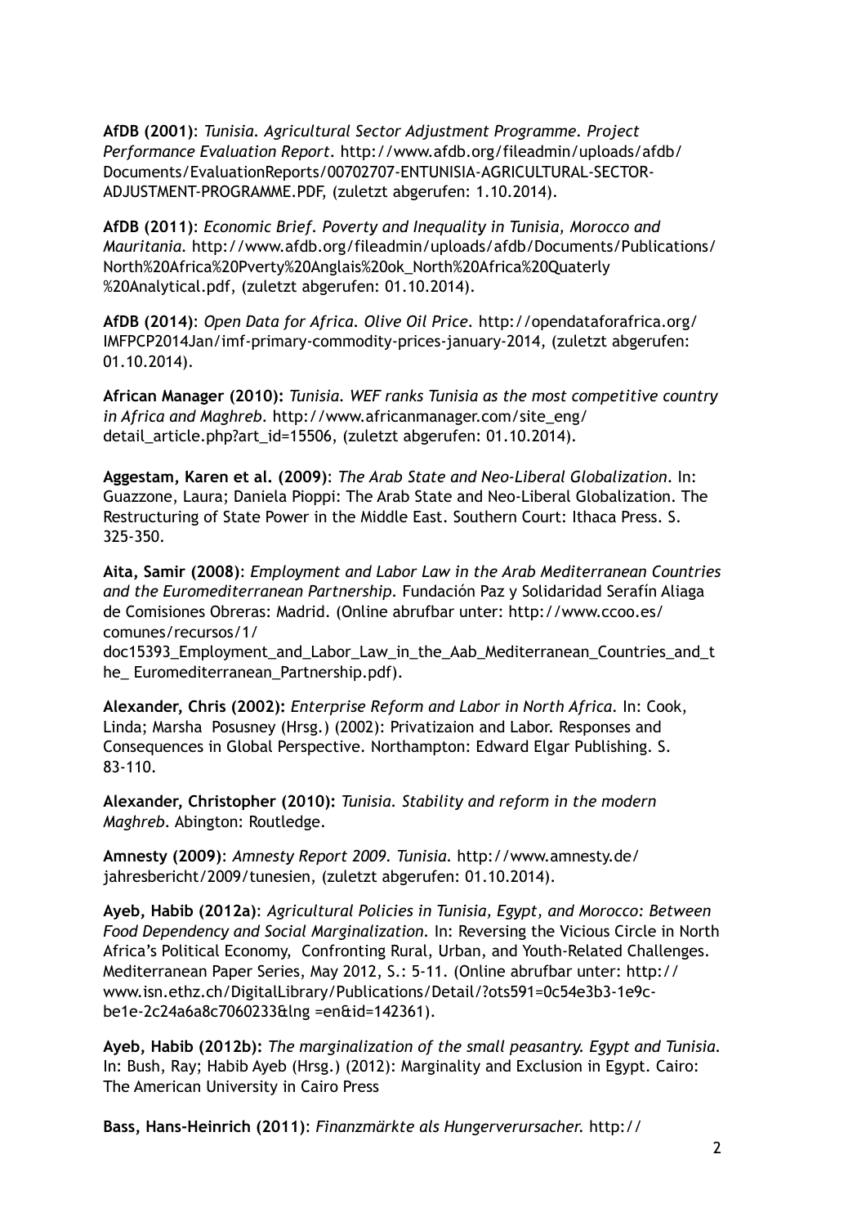**AfDB (2001)**: *Tunisia. Agricultural Sector Adjustment Programme. Project Performance Evaluation Report.* http://www.afdb.org/fileadmin/uploads/afdb/ Documents/EvaluationReports/00702707-ENTUNISIA-AGRICULTURAL-SECTOR-ADJUSTMENT-PROGRAMME.PDF, (zuletzt abgerufen: 1.10.2014).

**AfDB (2011)**: *Economic Brief. Poverty and Inequality in Tunisia, Morocco and Mauritania.* http://www.afdb.org/fileadmin/uploads/afdb/Documents/Publications/ North%20Africa%20Pverty%20Anglais%20ok\_North%20Africa%20Quaterly %20Analytical.pdf, (zuletzt abgerufen: 01.10.2014).

**AfDB (2014)**: *Open Data for Africa. Olive Oil Price.* http://opendataforafrica.org/ IMFPCP2014Jan/imf-primary-commodity-prices-january-2014, (zuletzt abgerufen: 01.10.2014).

**African Manager (2010):** *Tunisia. WEF ranks Tunisia as the most competitive country in Africa and Maghreb.* http://www.africanmanager.com/site\_eng/ detail\_article.php?art\_id=15506, (zuletzt abgerufen: 01.10.2014).

**Aggestam, Karen et al. (2009)**: *The Arab State and Neo-Liberal Globalization*. In: Guazzone, Laura; Daniela Pioppi: The Arab State and Neo-Liberal Globalization. The Restructuring of State Power in the Middle East. Southern Court: Ithaca Press. S. 325-350.

**Aita, Samir (2008)**: *Employment and Labor Law in the Arab Mediterranean Countries and the Euromediterranean Partnership.* Fundación Paz y Solidaridad Serafín Aliaga de Comisiones Obreras: Madrid. (Online abrufbar unter: http://www.ccoo.es/ comunes/recursos/1/

doc15393\_Employment\_and\_Labor\_Law\_in\_the\_Aab\_Mediterranean\_Countries\_and\_t he\_ Euromediterranean\_Partnership.pdf).

**Alexander, Chris (2002):** *Enterprise Reform and Labor in North Africa.* In: Cook, Linda; Marsha Posusney (Hrsg.) (2002): Privatizaion and Labor. Responses and Consequences in Global Perspective. Northampton: Edward Elgar Publishing. S. 83-110.

**Alexander, Christopher (2010):** *Tunisia. Stability and reform in the modern Maghreb.* Abington: Routledge.

**Amnesty (2009)**: *Amnesty Report 2009. Tunisia.* http://www.amnesty.de/ jahresbericht/2009/tunesien, (zuletzt abgerufen: 01.10.2014).

**Ayeb, Habib (2012a)**: *Agricultural Policies in Tunisia, Egypt, and Morocco: Between Food Dependency and Social Marginalization.* In: Reversing the Vicious Circle in North Africa's Political Economy, Confronting Rural, Urban, and Youth-Related Challenges. Mediterranean Paper Series, May 2012, S.: 5-11. (Online abrufbar unter: http:// www.isn.ethz.ch/DigitalLibrary/Publications/Detail/?ots591=0c54e3b3-1e9cbe1e-2c24a6a8c7060233&lng =en&id=142361).

**Ayeb, Habib (2012b):** *The marginalization of the small peasantry. Egypt and Tunisia.* In: Bush, Ray; Habib Ayeb (Hrsg.) (2012): Marginality and Exclusion in Egypt. Cairo: The American University in Cairo Press

**Bass, Hans-Heinrich (2011)**: *Finanzmärkte als Hungerverursacher.* http://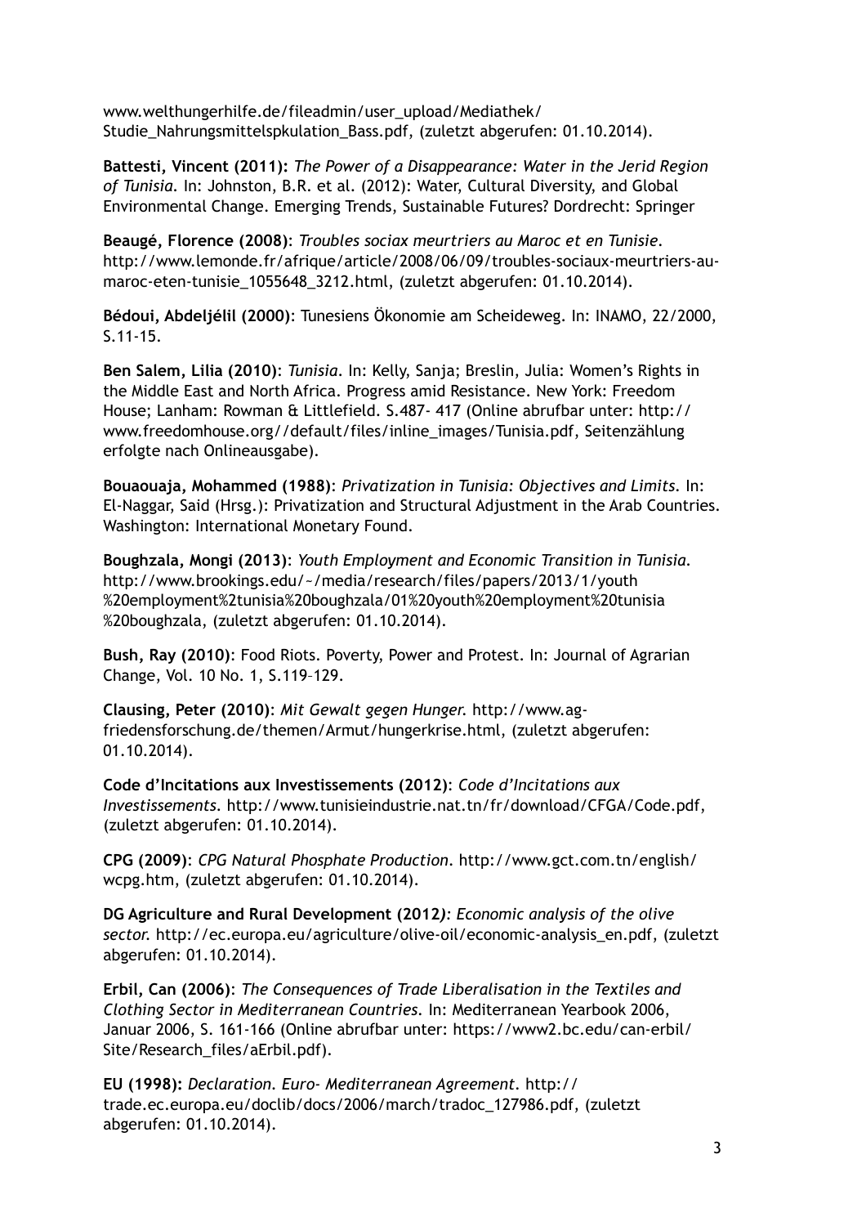www.welthungerhilfe.de/fileadmin/user\_upload/Mediathek/ Studie\_Nahrungsmittelspkulation\_Bass.pdf, (zuletzt abgerufen: 01.10.2014).

**Battesti, Vincent (2011):** *The Power of a Disappearance: Water in the Jerid Region of Tunisia.* In: Johnston, B.R. et al. (2012): Water, Cultural Diversity, and Global Environmental Change. Emerging Trends, Sustainable Futures? Dordrecht: Springer

**Beaugé, Florence (2008)**: *Troubles sociax meurtriers au Maroc et en Tunisie.* http://www.lemonde.fr/afrique/article/2008/06/09/troubles-sociaux-meurtriers-aumaroc-eten-tunisie\_1055648\_3212.html, (zuletzt abgerufen: 01.10.2014).

**Bédoui, Abdeljélil (2000)**: Tunesiens Ökonomie am Scheideweg. In: INAMO, 22/2000, S.11-15.

**Ben Salem, Lilia (2010)**: *Tunisia*. In: Kelly, Sanja; Breslin, Julia: Women's Rights in the Middle East and North Africa. Progress amid Resistance. New York: Freedom House; Lanham: Rowman & Littlefield. S.487- 417 (Online abrufbar unter: http:// www.freedomhouse.org//default/files/inline\_images/Tunisia.pdf, Seitenzählung erfolgte nach Onlineausgabe).

**Bouaouaja, Mohammed (1988)**: *Privatization in Tunisia: Objectives and Limits.* In: El-Naggar, Said (Hrsg.): Privatization and Structural Adjustment in the Arab Countries. Washington: International Monetary Found.

**Boughzala, Mongi (2013)**: *Youth Employment and Economic Transition in Tunisia.* http://www.brookings.edu/~/media/research/files/papers/2013/1/youth %20employment%2tunisia%20boughzala/01%20youth%20employment%20tunisia %20boughzala, (zuletzt abgerufen: 01.10.2014).

**Bush, Ray (2010)**: Food Riots. Poverty, Power and Protest. In: Journal of Agrarian Change, Vol. 10 No. 1, S.119–129.

**Clausing, Peter (2010)**: *Mit Gewalt gegen Hunger.* http://www.agfriedensforschung.de/themen/Armut/hungerkrise.html, (zuletzt abgerufen: 01.10.2014).

**Code d'Incitations aux Investissements (2012)**: *Code d'Incitations aux Investissements.* http://www.tunisieindustrie.nat.tn/fr/download/CFGA/Code.pdf, (zuletzt abgerufen: 01.10.2014).

**CPG (2009)**: *CPG Natural Phosphate Production*. http://www.gct.com.tn/english/ wcpg.htm, (zuletzt abgerufen: 01.10.2014).

**DG Agriculture and Rural Development (2012***): Economic analysis of the olive sector.* http://ec.europa.eu/agriculture/olive-oil/economic-analysis\_en.pdf, (zuletzt abgerufen: 01.10.2014).

**Erbil, Can (2006)**: *The Consequences of Trade Liberalisation in the Textiles and Clothing Sector in Mediterranean Countries.* In: Mediterranean Yearbook 2006, Januar 2006, S. 161-166 (Online abrufbar unter: https://www2.bc.edu/can-erbil/ Site/Research\_files/aErbil.pdf).

**EU (1998):** *Declaration. Euro- Mediterranean Agreement.* http:// trade.ec.europa.eu/doclib/docs/2006/march/tradoc\_127986.pdf, (zuletzt abgerufen: 01.10.2014).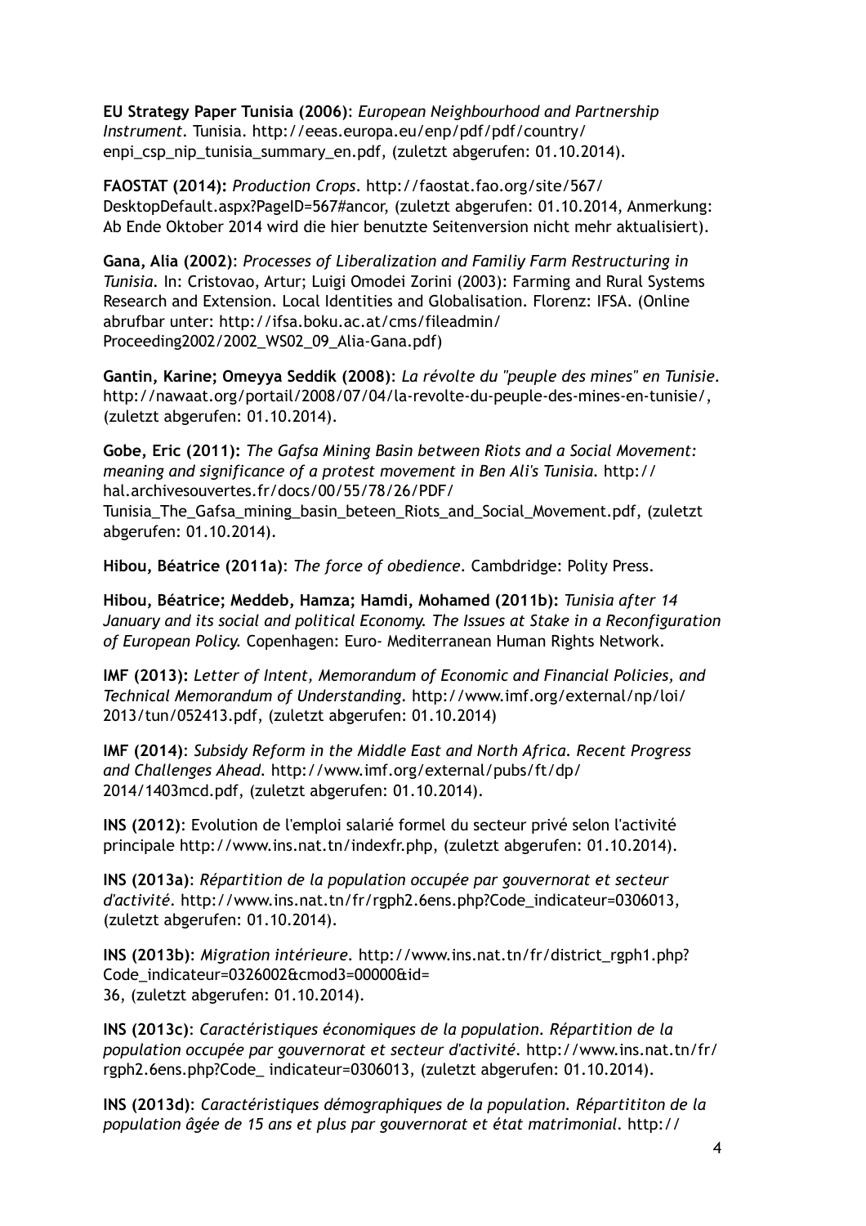**EU Strategy Paper Tunisia (2006)**: *European Neighbourhood and Partnership Instrument.* Tunisia. http://eeas.europa.eu/enp/pdf/pdf/country/ enpi\_csp\_nip\_tunisia\_summary\_en.pdf, (zuletzt abgerufen: 01.10.2014).

**FAOSTAT (2014):** *Production Crops*. http://faostat.fao.org/site/567/ DesktopDefault.aspx?PageID=567#ancor, (zuletzt abgerufen: 01.10.2014, Anmerkung: Ab Ende Oktober 2014 wird die hier benutzte Seitenversion nicht mehr aktualisiert).

**Gana, Alia (2002)**: *Processes of Liberalization and Familiy Farm Restructuring in Tunisia.* In: Cristovao, Artur; Luigi Omodei Zorini (2003): Farming and Rural Systems Research and Extension. Local Identities and Globalisation. Florenz: IFSA. (Online abrufbar unter: http://ifsa.boku.ac.at/cms/fileadmin/ Proceeding2002/2002\_WS02\_09\_Alia-Gana.pdf)

**Gantin, Karine; Omeyya Seddik (2008)**: *La révolte du "peuple des mines" en Tunisie.* http://nawaat.org/portail/2008/07/04/la-revolte-du-peuple-des-mines-en-tunisie/, (zuletzt abgerufen: 01.10.2014).

**Gobe, Eric (2011):** *The Gafsa Mining Basin between Riots and a Social Movement: meaning and significance of a protest movement in Ben Ali's Tunisia.* http:// hal.archivesouvertes.fr/docs/00/55/78/26/PDF/

Tunisia\_The\_Gafsa\_mining\_basin\_beteen\_Riots\_and\_Social\_Movement.pdf, (zuletzt abgerufen: 01.10.2014).

**Hibou, Béatrice (2011a)**: *The force of obedience.* Cambdridge: Polity Press.

**Hibou, Béatrice; Meddeb, Hamza; Hamdi, Mohamed (2011b):** *Tunisia after 14 January and its social and political Economy. The Issues at Stake in a Reconfiguration of European Policy.* Copenhagen: Euro- Mediterranean Human Rights Network.

**IMF (2013):** *Letter of Intent, Memorandum of Economic and Financial Policies, and Technical Memorandum of Understanding.* http://www.imf.org/external/np/loi/ 2013/tun/052413.pdf, (zuletzt abgerufen: 01.10.2014)

**IMF (2014)**: *Subsidy Reform in the Middle East and North Africa. Recent Progress and Challenges Ahead.* http://www.imf.org/external/pubs/ft/dp/ 2014/1403mcd.pdf, (zuletzt abgerufen: 01.10.2014).

**INS (2012)**: Evolution de l'emploi salarié formel du secteur privé selon l'activité principale http://www.ins.nat.tn/indexfr.php, (zuletzt abgerufen: 01.10.2014).

**INS (2013a)**: *Répartition de la population occupée par gouvernorat et secteur d'activité.* http://www.ins.nat.tn/fr/rgph2.6ens.php?Code\_indicateur=0306013, (zuletzt abgerufen: 01.10.2014).

**INS (2013b)**: *Migration intérieure.* http://www.ins.nat.tn/fr/district\_rgph1.php? Code\_indicateur=0326002&cmod3=00000&id= 36, (zuletzt abgerufen: 01.10.2014).

**INS (2013c)**: *Caractéristiques économiques de la population. Répartition de la population occupée par gouvernorat et secteur d'activité.* http://www.ins.nat.tn/fr/ rgph2.6ens.php?Code\_ indicateur=0306013, (zuletzt abgerufen: 01.10.2014).

**INS (2013d)**: *Caractéristiques démographiques de la population. Répartititon de la population âgée de 15 ans et plus par gouvernorat et état matrimonial.* http://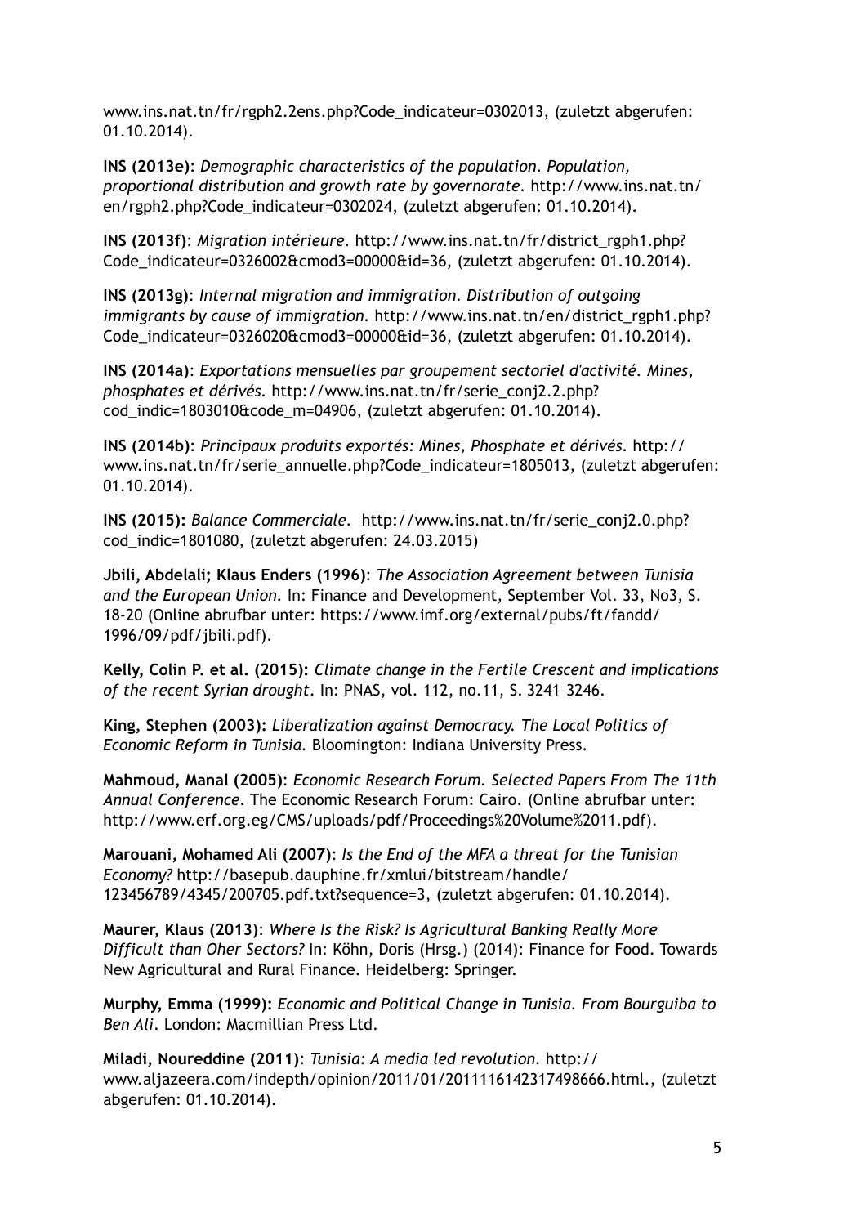www.ins.nat.tn/fr/rgph2.2ens.php?Code\_indicateur=0302013, (zuletzt abgerufen: 01.10.2014).

**INS (2013e)**: *Demographic characteristics of the population. Population, proportional distribution and growth rate by governorate.* http://www.ins.nat.tn/ en/rgph2.php?Code\_indicateur=0302024, (zuletzt abgerufen: 01.10.2014).

**INS (2013f)**: *Migration intérieure.* http://www.ins.nat.tn/fr/district\_rgph1.php? Code\_indicateur=0326002&cmod3=00000&id=36, (zuletzt abgerufen: 01.10.2014).

**INS (2013g)**: *Internal migration and immigration. Distribution of outgoing immigrants by cause of immigration.* http://www.ins.nat.tn/en/district\_rgph1.php? Code\_indicateur=0326020&cmod3=00000&id=36, (zuletzt abgerufen: 01.10.2014).

**INS (2014a)**: *Exportations mensuelles par groupement sectoriel d'activité. Mines, phosphates et dérivés.* http://www.ins.nat.tn/fr/serie\_conj2.2.php? cod\_indic=1803010&code\_m=04906, (zuletzt abgerufen: 01.10.2014).

**INS (2014b)**: *Principaux produits exportés: Mines, Phosphate et dérivés.* http:// www.ins.nat.tn/fr/serie\_annuelle.php?Code\_indicateur=1805013, (zuletzt abgerufen: 01.10.2014).

**INS (2015):** *Balance Commerciale.* http://www.ins.nat.tn/fr/serie\_conj2.0.php? cod\_indic=1801080, (zuletzt abgerufen: 24.03.2015)

**Jbili, Abdelali; Klaus Enders (1996)**: *The Association Agreement between Tunisia and the European Union.* In: Finance and Development, September Vol. 33, No3, S. 18-20 (Online abrufbar unter: https://www.imf.org/external/pubs/ft/fandd/ 1996/09/pdf/jbili.pdf).

**Kelly, Colin P. et al. (2015):** *Climate change in the Fertile Crescent and implications of the recent Syrian drought*. In: PNAS, vol. 112, no.11, S. 3241–3246.

**King, Stephen (2003):** *Liberalization against Democracy. The Local Politics of Economic Reform in Tunisia.* Bloomington: Indiana University Press.

**Mahmoud, Manal (2005)**: *Economic Research Forum. Selected Papers From The 11th Annual Conference*. The Economic Research Forum: Cairo. (Online abrufbar unter: http://www.erf.org.eg/CMS/uploads/pdf/Proceedings%20Volume%2011.pdf).

**Marouani, Mohamed Ali (2007)**: *Is the End of the MFA a threat for the Tunisian Economy?* http://basepub.dauphine.fr/xmlui/bitstream/handle/ 123456789/4345/200705.pdf.txt?sequence=3, (zuletzt abgerufen: 01.10.2014).

**Maurer, Klaus (2013)**: *Where Is the Risk? Is Agricultural Banking Really More Difficult than Oher Sectors?* In: Köhn, Doris (Hrsg.) (2014): Finance for Food. Towards New Agricultural and Rural Finance. Heidelberg: Springer.

**Murphy, Emma (1999):** *Economic and Political Change in Tunisia. From Bourguiba to Ben Ali*. London: Macmillian Press Ltd.

**Miladi, Noureddine (2011)**: *Tunisia: A media led revolution.* http:// www.aljazeera.com/indepth/opinion/2011/01/2011116142317498666.html., (zuletzt abgerufen: 01.10.2014).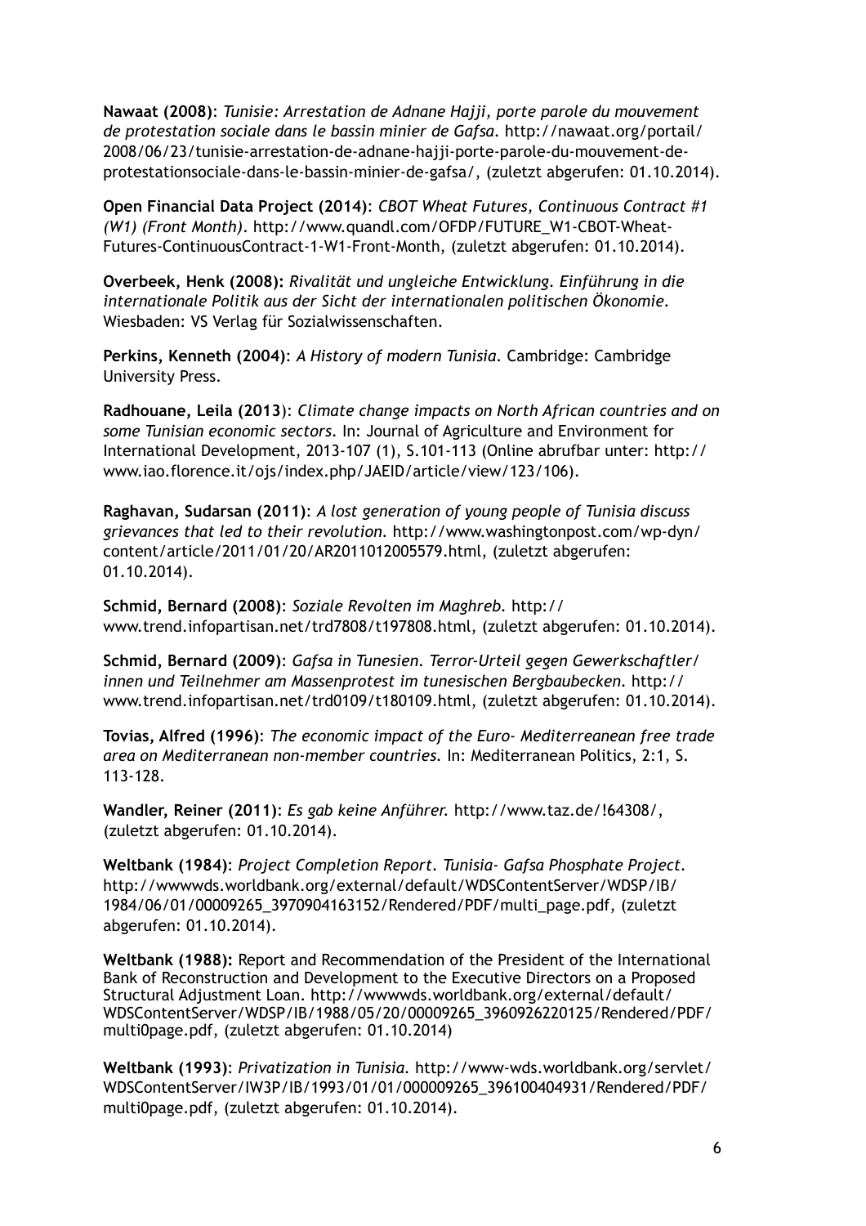**Nawaat (2008)**: *Tunisie: Arrestation de Adnane Hajji, porte parole du mouvement de protestation sociale dans le bassin minier de Gafsa.* http://nawaat.org/portail/ 2008/06/23/tunisie-arrestation-de-adnane-hajji-porte-parole-du-mouvement-deprotestationsociale-dans-le-bassin-minier-de-gafsa/, (zuletzt abgerufen: 01.10.2014).

**Open Financial Data Project (2014)**: *CBOT Wheat Futures, Continuous Contract #1 (W1) (Front Month)*. http://www.quandl.com/OFDP/FUTURE\_W1-CBOT-Wheat-Futures-ContinuousContract-1-W1-Front-Month, (zuletzt abgerufen: 01.10.2014).

**Overbeek, Henk (2008):** *Rivalität und ungleiche Entwicklung. Einführung in die internationale Politik aus der Sicht der internationalen politischen Ökonomie.* Wiesbaden: VS Verlag für Sozialwissenschaften.

**Perkins, Kenneth (2004)**: *A History of modern Tunisia.* Cambridge: Cambridge University Press.

**Radhouane, Leila (2013**): *Climate change impacts on North African countries and on some Tunisian economic sectors*. In: Journal of Agriculture and Environment for International Development, 2013-107 (1), S.101-113 (Online abrufbar unter: http:// www.iao.florence.it/ojs/index.php/JAEID/article/view/123/106).

**Raghavan, Sudarsan (2011)**: *A lost generation of young people of Tunisia discuss grievances that led to their revolution.* http://www.washingtonpost.com/wp-dyn/ content/article/2011/01/20/AR2011012005579.html, (zuletzt abgerufen: 01.10.2014).

**Schmid, Bernard (2008)**: *Soziale Revolten im Maghreb.* http:// www.trend.infopartisan.net/trd7808/t197808.html, (zuletzt abgerufen: 01.10.2014).

**Schmid, Bernard (2009)**: *Gafsa in Tunesien. Terror-Urteil gegen Gewerkschaftler/ innen und Teilnehmer am Massenprotest im tunesischen Bergbaubecken.* http:// www.trend.infopartisan.net/trd0109/t180109.html, (zuletzt abgerufen: 01.10.2014).

**Tovias, Alfred (1996)**: *The economic impact of the Euro- Mediterreanean free trade area on Mediterranean non-member countries.* In: Mediterranean Politics, 2:1, S. 113-128.

**Wandler, Reiner (2011)**: *Es gab keine Anführer.* http://www.taz.de/!64308/, (zuletzt abgerufen: 01.10.2014).

**Weltbank (1984)**: *Project Completion Report. Tunisia- Gafsa Phosphate Project.* http://wwwwds.worldbank.org/external/default/WDSContentServer/WDSP/IB/ 1984/06/01/00009265\_3970904163152/Rendered/PDF/multi\_page.pdf, (zuletzt abgerufen: 01.10.2014).

**Weltbank (1988):** Report and Recommendation of the President of the International Bank of Reconstruction and Development to the Executive Directors on a Proposed Structural Adjustment Loan. http://wwwwds.worldbank.org/external/default/ WDSContentServer/WDSP/IB/1988/05/20/00009265\_3960926220125/Rendered/PDF/ multi0page.pdf, (zuletzt abgerufen: 01.10.2014)

**Weltbank (1993)**: *Privatization in Tunisia.* http://www-wds.worldbank.org/servlet/ WDSContentServer/IW3P/IB/1993/01/01/000009265\_396100404931/Rendered/PDF/ multi0page.pdf, (zuletzt abgerufen: 01.10.2014).